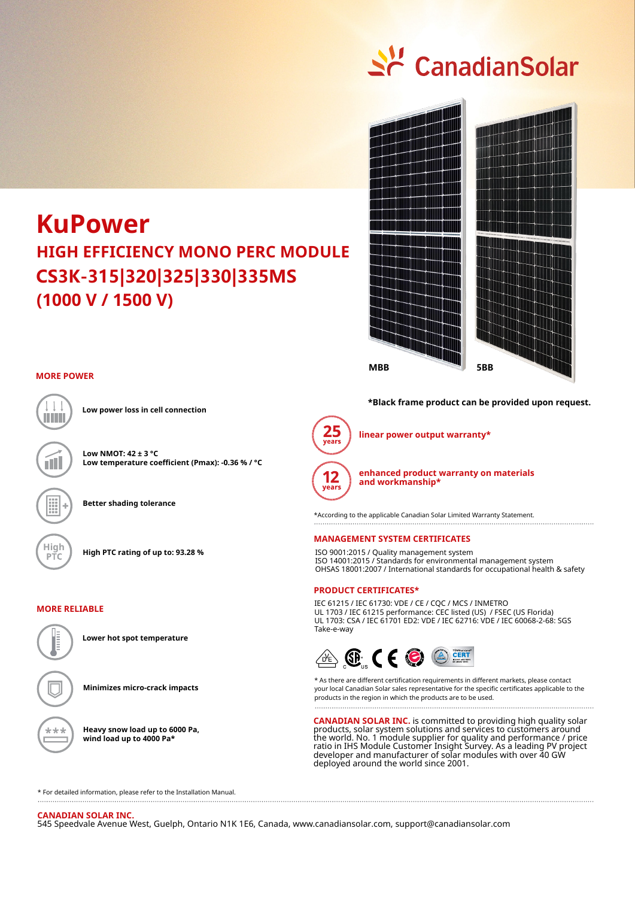

# **HIGH EFFICIENCY MONO PERC MODULE (1000 V / 1500 V) KuPower CS3K-315|320|325|330|335MS**



# **MORE POWER**



**Low power loss in cell connection**

**Low NMOT: 42 ± 3 °C Low temperature coefficient (Pmax): -0.36 % / °C**

**Better shading tolerance**







**Lower hot spot temperature**

**Minimizes micro-crack impacts**

**Heavy snow load up to 6000 Pa, wind load up to 4000 Pa\***

**\*Black frame product can be provided upon request.**



**linear power output warranty\***

**enhanced product warranty on materials and workmanship\***

\*According to the applicable Canadian Solar Limited Warranty Statement.

#### **MANAGEMENT SYSTEM CERTIFICATES**

ISO 9001:2015 / Quality management system ISO 14001:2015 / Standards for environmental management system OHSAS 18001:2007 / International standards for occupational health & safety

### **PRODUCT CERTIFICATES\***

IEC 61215 / IEC 61730: VDE / CE / CQC / MCS / INMETRO UL 1703 / IEC 61215 performance: CEC listed (US) / FSEC (US Florida) UL 1703: CSA / IEC 61701 ED2: VDE / IEC 62716: VDE / IEC 60068-2-68: SGS Take-e-way



\* As there are different certification requirements in different markets, please contact your local Canadian Solar sales representative for the specific certificates applicable to the products in the region in which the products are to be used.

**CANADIAN SOLAR INC.** is committed to providing high quality solar products, solar system solutions and services to customers around the world. No. 1 module supplier for quality and performance / price ratio in IHS Module Customer Insight Survey. As a leading PV project developer and manufacturer of solar modules with over 40 GW deployed around the world since 2001.

\* For detailed information, please refer to the Installation Manual.

**CANADIAN SOLAR INC.**  545 Speedvale Avenue West, Guelph, Ontario N1K 1E6, Canada, www.canadiansolar.com, support@canadiansolar.com